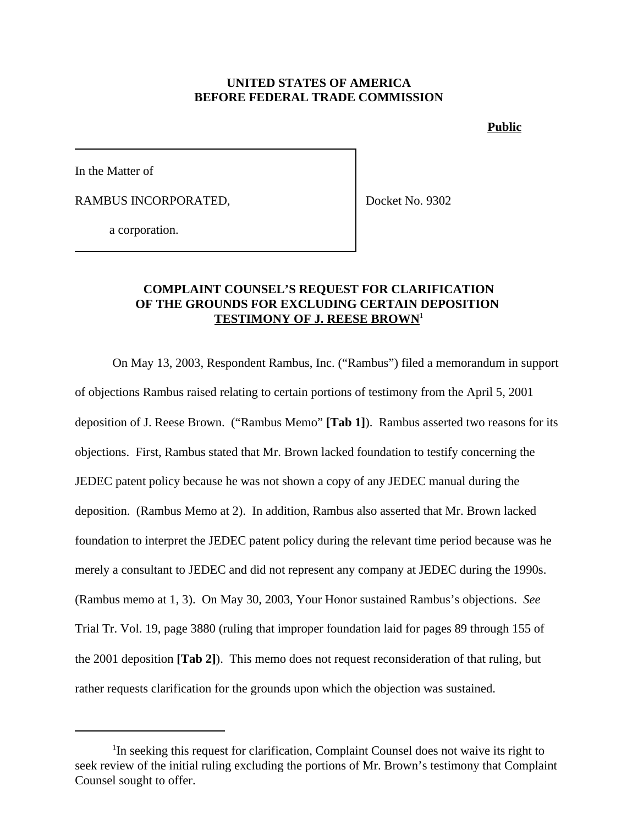## **UNITED STATES OF AMERICA BEFORE FEDERAL TRADE COMMISSION**

**Public**

In the Matter of

RAMBUS INCORPORATED,

Docket No. 9302

a corporation.

## **COMPLAINT COUNSEL'S REQUEST FOR CLARIFICATION OF THE GROUNDS FOR EXCLUDING CERTAIN DEPOSITION TESTIMONY OF J. REESE BROWN**<sup>1</sup>

On May 13, 2003, Respondent Rambus, Inc. ("Rambus") filed a memorandum in support of objections Rambus raised relating to certain portions of testimony from the April 5, 2001 deposition of J. Reese Brown. ("Rambus Memo" **[Tab 1]**). Rambus asserted two reasons for its objections. First, Rambus stated that Mr. Brown lacked foundation to testify concerning the JEDEC patent policy because he was not shown a copy of any JEDEC manual during the deposition. (Rambus Memo at 2). In addition, Rambus also asserted that Mr. Brown lacked foundation to interpret the JEDEC patent policy during the relevant time period because was he merely a consultant to JEDEC and did not represent any company at JEDEC during the 1990s. (Rambus memo at 1, 3). On May 30, 2003, Your Honor sustained Rambus's objections. *See* Trial Tr. Vol. 19, page 3880 (ruling that improper foundation laid for pages 89 through 155 of the 2001 deposition **[Tab 2]**). This memo does not request reconsideration of that ruling, but rather requests clarification for the grounds upon which the objection was sustained.

<sup>&</sup>lt;sup>1</sup>In seeking this request for clarification, Complaint Counsel does not waive its right to seek review of the initial ruling excluding the portions of Mr. Brown's testimony that Complaint Counsel sought to offer.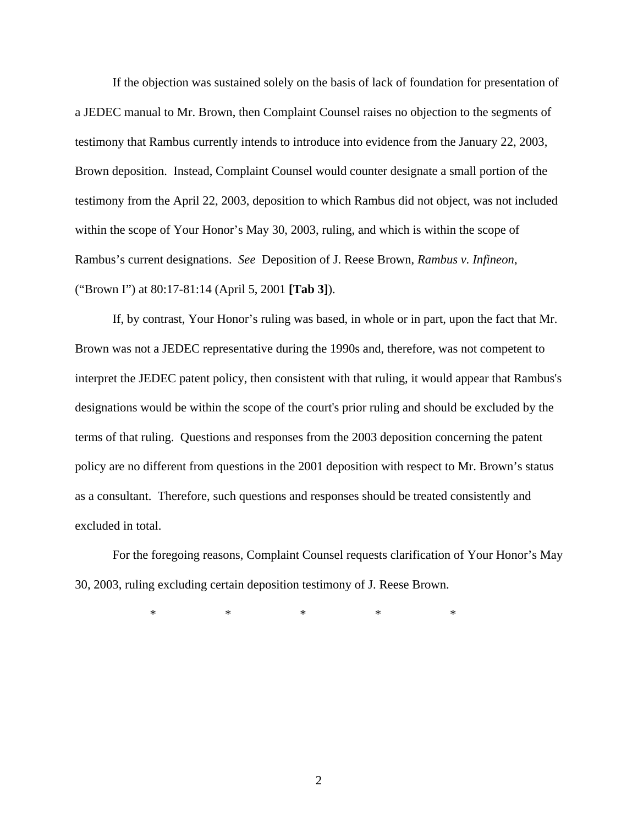If the objection was sustained solely on the basis of lack of foundation for presentation of a JEDEC manual to Mr. Brown, then Complaint Counsel raises no objection to the segments of testimony that Rambus currently intends to introduce into evidence from the January 22, 2003, Brown deposition. Instead, Complaint Counsel would counter designate a small portion of the testimony from the April 22, 2003, deposition to which Rambus did not object, was not included within the scope of Your Honor's May 30, 2003, ruling, and which is within the scope of Rambus's current designations. *See* Deposition of J. Reese Brown, *Rambus v. Infineon*, ("Brown I") at 80:17-81:14 (April 5, 2001 **[Tab 3]**).

If, by contrast, Your Honor's ruling was based, in whole or in part, upon the fact that Mr. Brown was not a JEDEC representative during the 1990s and, therefore, was not competent to interpret the JEDEC patent policy, then consistent with that ruling, it would appear that Rambus's designations would be within the scope of the court's prior ruling and should be excluded by the terms of that ruling. Questions and responses from the 2003 deposition concerning the patent policy are no different from questions in the 2001 deposition with respect to Mr. Brown's status as a consultant. Therefore, such questions and responses should be treated consistently and excluded in total.

For the foregoing reasons, Complaint Counsel requests clarification of Your Honor's May 30, 2003, ruling excluding certain deposition testimony of J. Reese Brown.

\* \* \* \* \* \* \*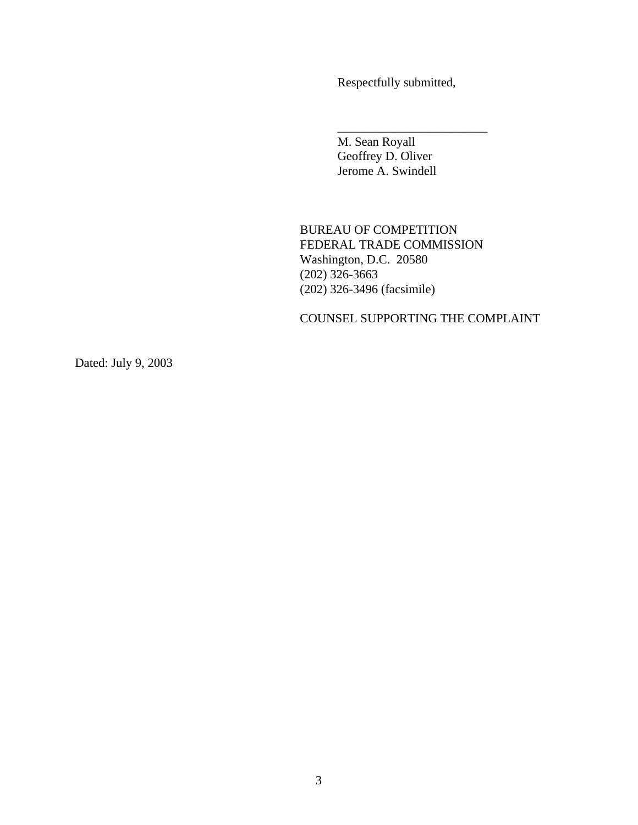Respectfully submitted,

\_\_\_\_\_\_\_\_\_\_\_\_\_\_\_\_\_\_\_\_\_\_\_\_

M. Sean Royall Geoffrey D. Oliver Jerome A. Swindell

BUREAU OF COMPETITION FEDERAL TRADE COMMISSION Washington, D.C. 20580 (202) 326-3663 (202) 326-3496 (facsimile)

COUNSEL SUPPORTING THE COMPLAINT

Dated: July 9, 2003